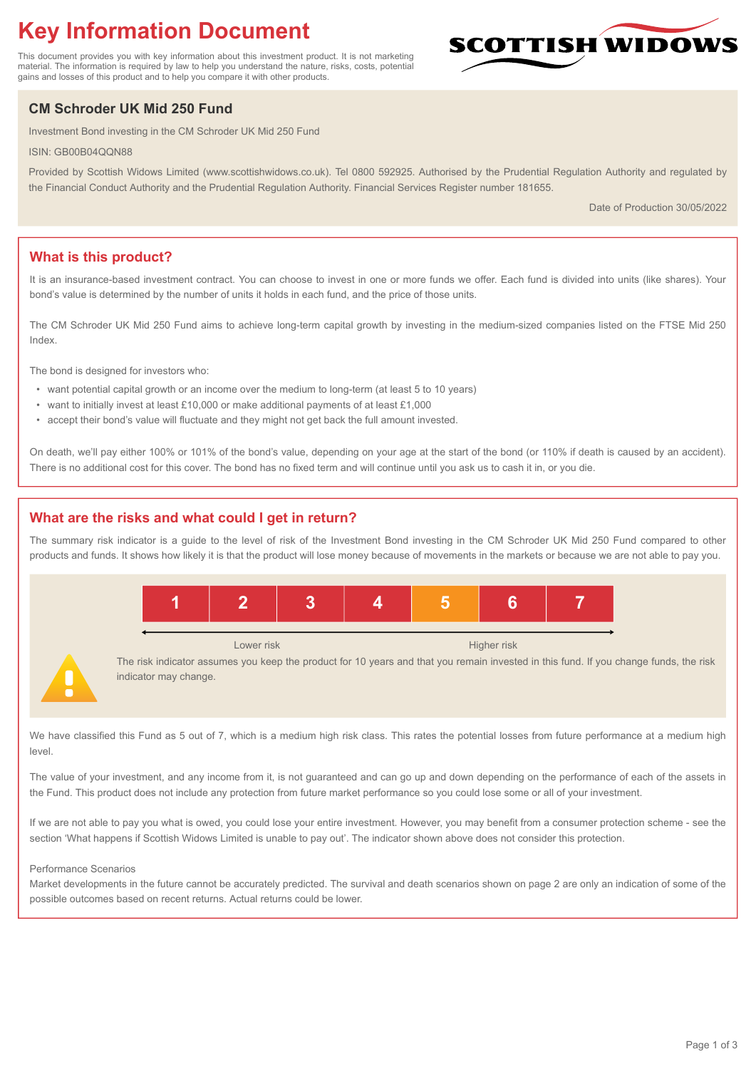# **Key Information Document**

This document provides you with key information about this investment product. It is not marketing material. The information is required by law to help you understand the nature, risks, costs, potential gains and losses of this product and to help you compare it with other products.

## **CM Schroder UK Mid 250 Fund**

Investment Bond investing in the CM Schroder UK Mid 250 Fund

ISIN: GB00B04QQN88

Provided by Scottish Widows Limited (www.scottishwidows.co.uk). Tel 0800 592925. Authorised by the Prudential Regulation Authority and regulated by the Financial Conduct Authority and the Prudential Regulation Authority. Financial Services Register number 181655.

Date of Production 30/05/2022

**SCOTTISH WIDOW** 

## **What is this product?**

It is an insurance-based investment contract. You can choose to invest in one or more funds we offer. Each fund is divided into units (like shares). Your bond's value is determined by the number of units it holds in each fund, and the price of those units.

The CM Schroder UK Mid 250 Fund aims to achieve long-term capital growth by investing in the medium-sized companies listed on the FTSE Mid 250 Index.

The bond is designed for investors who:

- want potential capital growth or an income over the medium to long-term (at least 5 to 10 years)
- want to initially invest at least £10,000 or make additional payments of at least £1,000
- accept their bond's value will fluctuate and they might not get back the full amount invested.

On death, we'll pay either 100% or 101% of the bond's value, depending on your age at the start of the bond (or 110% if death is caused by an accident). There is no additional cost for this cover. The bond has no fixed term and will continue until you ask us to cash it in, or you die.

## **What are the risks and what could I get in return?**

The summary risk indicator is a guide to the level of risk of the Investment Bond investing in the CM Schroder UK Mid 250 Fund compared to other products and funds. It shows how likely it is that the product will lose money because of movements in the markets or because we are not able to pay you.



We have classified this Fund as 5 out of 7, which is a medium high risk class. This rates the potential losses from future performance at a medium high level

The value of your investment, and any income from it, is not guaranteed and can go up and down depending on the performance of each of the assets in the Fund. This product does not include any protection from future market performance so you could lose some or all of your investment.

If we are not able to pay you what is owed, you could lose your entire investment. However, you may benefit from a consumer protection scheme - see the section 'What happens if Scottish Widows Limited is unable to pay out'. The indicator shown above does not consider this protection.

#### Performance Scenarios

Market developments in the future cannot be accurately predicted. The survival and death scenarios shown on page 2 are only an indication of some of the possible outcomes based on recent returns. Actual returns could be lower.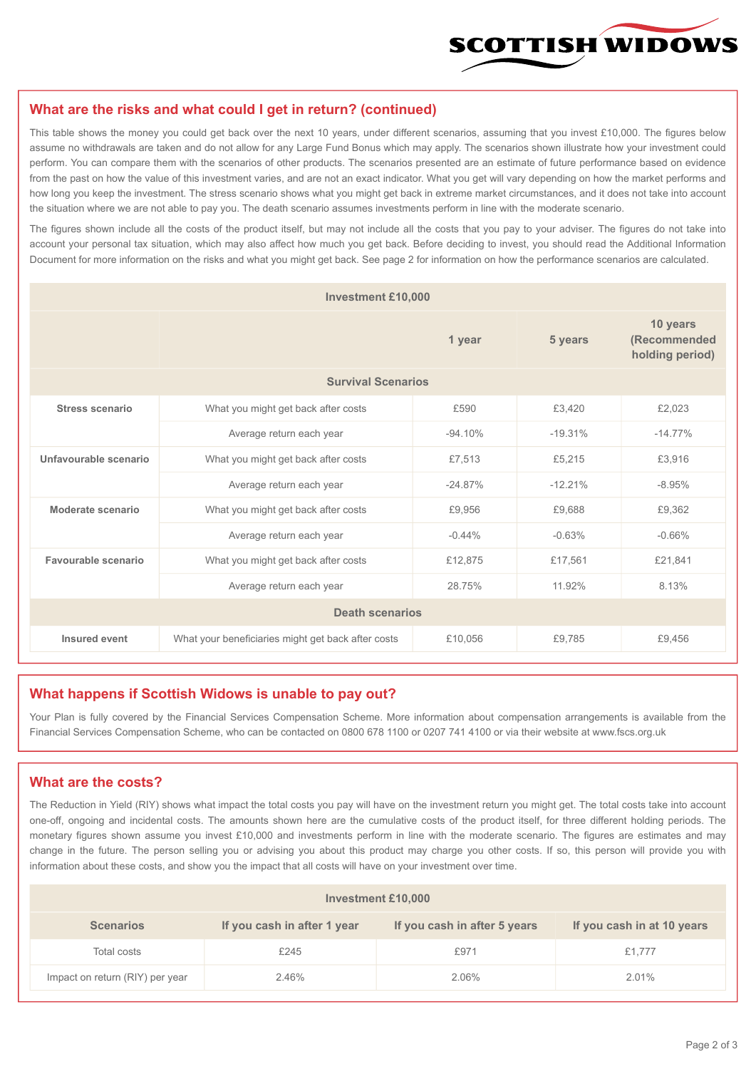

#### **What are the risks and what could I get in return? (continued)**

This table shows the money you could get back over the next 10 years, under different scenarios, assuming that you invest £10,000. The figures below assume no withdrawals are taken and do not allow for any Large Fund Bonus which may apply. The scenarios shown illustrate how your investment could perform. You can compare them with the scenarios of other products. The scenarios presented are an estimate of future performance based on evidence from the past on how the value of this investment varies, and are not an exact indicator. What you get will vary depending on how the market performs and how long you keep the investment. The stress scenario shows what you might get back in extreme market circumstances, and it does not take into account the situation where we are not able to pay you. The death scenario assumes investments perform in line with the moderate scenario.

The figures shown include all the costs of the product itself, but may not include all the costs that you pay to your adviser. The figures do not take into account your personal tax situation, which may also affect how much you get back. Before deciding to invest, you should read the Additional Information Document for more information on the risks and what you might get back. See page 2 for information on how the performance scenarios are calculated.

| <b>Investment £10,000</b> |                                                    |           |           |                                             |  |  |
|---------------------------|----------------------------------------------------|-----------|-----------|---------------------------------------------|--|--|
|                           |                                                    | 1 year    | 5 years   | 10 years<br>(Recommended<br>holding period) |  |  |
| <b>Survival Scenarios</b> |                                                    |           |           |                                             |  |  |
| <b>Stress scenario</b>    | £590<br>What you might get back after costs        |           | £3,420    | £2,023                                      |  |  |
|                           | Average return each year                           | $-94.10%$ | $-19.31%$ | $-14.77%$                                   |  |  |
| Unfavourable scenario     | What you might get back after costs<br>£7,513      |           | £5,215    | £3,916                                      |  |  |
|                           | Average return each year                           | $-24.87%$ | $-12.21%$ | $-8.95%$                                    |  |  |
| Moderate scenario         | What you might get back after costs                | £9,956    | £9,688    | £9,362                                      |  |  |
|                           | Average return each year                           | $-0.44%$  | $-0.63%$  | $-0.66%$                                    |  |  |
| Favourable scenario       | What you might get back after costs                | £12,875   | £17,561   | £21,841                                     |  |  |
|                           | Average return each year                           | 28.75%    | 11.92%    | 8.13%                                       |  |  |
| <b>Death scenarios</b>    |                                                    |           |           |                                             |  |  |
| Insured event             | What your beneficiaries might get back after costs | £10,056   | £9.785    | £9,456                                      |  |  |

#### **What happens if Scottish Widows is unable to pay out?**

Your Plan is fully covered by the Financial Services Compensation Scheme. More information about compensation arrangements is available from the Financial Services Compensation Scheme, who can be contacted on 0800 678 1100 or 0207 741 4100 or via their website at www.fscs.org.uk

#### **What are the costs?**

The Reduction in Yield (RIY) shows what impact the total costs you pay will have on the investment return you might get. The total costs take into account one-off, ongoing and incidental costs. The amounts shown here are the cumulative costs of the product itself, for three different holding periods. The monetary figures shown assume you invest £10,000 and investments perform in line with the moderate scenario. The figures are estimates and may change in the future. The person selling you or advising you about this product may charge you other costs. If so, this person will provide you with information about these costs, and show you the impact that all costs will have on your investment over time.

| <b>Investment £10,000</b>       |                             |                              |                            |  |  |  |
|---------------------------------|-----------------------------|------------------------------|----------------------------|--|--|--|
| <b>Scenarios</b>                | If you cash in after 1 year | If you cash in after 5 years | If you cash in at 10 years |  |  |  |
| Total costs                     | £245                        | £971                         | £1,777                     |  |  |  |
| Impact on return (RIY) per year | 2.46%                       | 2.06%                        | 2.01%                      |  |  |  |